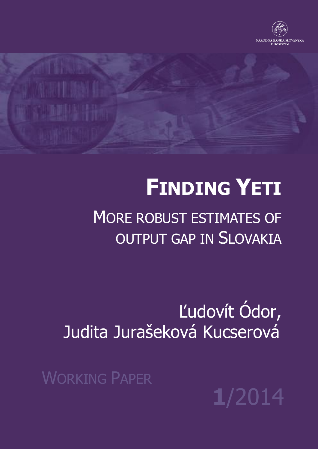

# **FINDING YETI**

MORE ROBUST ESTIMATES OF OUTPUT GAP IN SLOVAKIA

Ľudovít Ódor, Judita Jurašeková Kucserová

WORKING PAPER

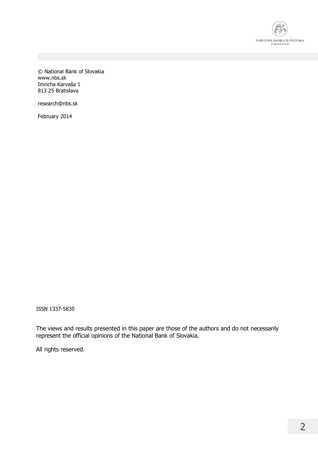

© National Bank of Slovakia www.nbs.sk Imricha Karvaša 1 813 25 Bratislava

research@nbs.sk

February 2014

ISSN 1337-5830

The views and results presented in this paper are those of the authors and do not necessarily represent the official opinions of the National Bank of Slovakia.

All rights reserved.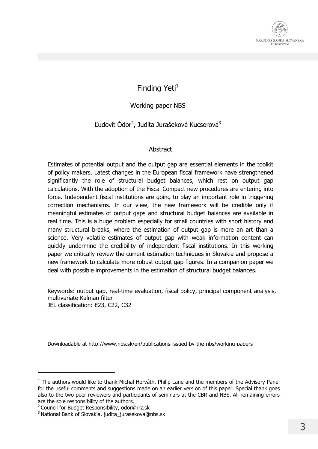

#### Finding Yeti $<sup>1</sup>$ </sup>

#### Working paper NBS

#### Ľudovít Ódor<sup>2</sup>, Judita Jurašeková Kucserová<sup>3</sup>

#### Abstract

Estimates of potential output and the output gap are essential elements in the toolkit of policy makers. Latest changes in the European fiscal framework have strengthened significantly the role of structural budget balances, which rest on output gap calculations. With the adoption of the Fiscal Compact new procedures are entering into force. Independent fiscal institutions are going to play an important role in triggering correction mechanisms. In our view, the new framework will be credible only if meaningful estimates of output gaps and structural budget balances are available in real time. This is a huge problem especially for small countries with short history and many structural breaks, where the estimation of output gap is more an art than a science. Very volatile estimates of output gap with weak information content can quickly undermine the credibility of independent fiscal institutions. In this working paper we critically review the current estimation techniques in Slovakia and propose a new framework to calculate more robust output gap figures. In a companion paper we deal with possible improvements in the estimation of structural budget balances.

Keywords: output gap, real-time evaluation, fiscal policy, principal component analysis, multivariate Kalman filter JEL classification: E23, C22, C32

Downloadable at http://www.nbs.sk/en/publications-issued-by-the-nbs/working-papers

 $\overline{a}$ 

 $<sup>1</sup>$  The authors would like to thank Michal Horváth, Philip Lane and the members of the Advisory Panel</sup> for the useful comments and suggestions made on an earlier version of this paper. Special thank goes also to the two peer reviewers and participants of seminars at the CBR and NBS. All remaining errors are the sole responsibility of the authors.

<sup>&</sup>lt;sup>2</sup> Council for Budget Responsibility, odor@rrz.sk

<sup>3</sup> National Bank of Slovakia, judita\_jurasekova@nbs.sk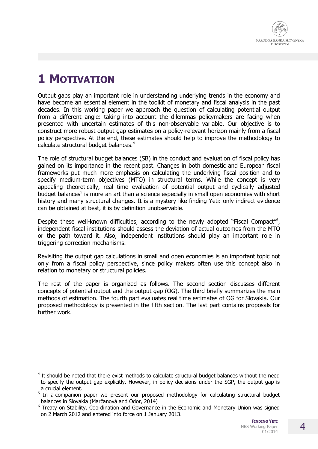

# **1 MOTIVATION**

j

Output gaps play an important role in understanding underlying trends in the economy and have become an essential element in the toolkit of monetary and fiscal analysis in the past decades. In this working paper we approach the question of calculating potential output from a different angle: taking into account the dilemmas policymakers are facing when presented with uncertain estimates of this non-observable variable. Our objective is to construct more robust output gap estimates on a policy-relevant horizon mainly from a fiscal policy perspective. At the end, these estimates should help to improve the methodology to calculate structural budget balances.<sup>4</sup>

The role of structural budget balances (SB) in the conduct and evaluation of fiscal policy has gained on its importance in the recent past. Changes in both domestic and European fiscal frameworks put much more emphasis on calculating the underlying fiscal position and to specify medium-term objectives (MTO) in structural terms. While the concept is very appealing theoretically, real time evaluation of potential output and cyclically adjusted budget balances<sup>5</sup> is more an art than a science especially in small open economies with short history and many structural changes. It is a mystery like finding Yeti: only indirect evidence can be obtained at best, it is by definition unobservable.

Despite these well-known difficulties, according to the newly adopted "Fiscal Compact"<sup>6</sup>, independent fiscal institutions should assess the deviation of actual outcomes from the MTO or the path toward it. Also, independent institutions should play an important role in triggering correction mechanisms.

Revisiting the output gap calculations in small and open economies is an important topic not only from a fiscal policy perspective, since policy makers often use this concept also in relation to monetary or structural policies.

The rest of the paper is organized as follows. The second section discusses different concepts of potential output and the output gap (OG). The third briefly summarizes the main methods of estimation. The fourth part evaluates real time estimates of OG for Slovakia. Our proposed methodology is presented in the fifth section. The last part contains proposals for further work.

<sup>&</sup>lt;sup>4</sup> It should be noted that there exist methods to calculate structural budget balances without the need to specify the output gap explicitly. However, in policy decisions under the SGP, the output gap is a crucial element.<br><sup>5</sup> In a companion paper we present our proposed methodology for calculating structural budget

balances in Slovakia (Marčanová and Ódor, 2014)

<sup>&</sup>lt;sup>6</sup> Treaty on Stability, Coordination and Governance in the Economic and Monetary Union was signed on 2 March 2012 and entered into force on 1 January 2013.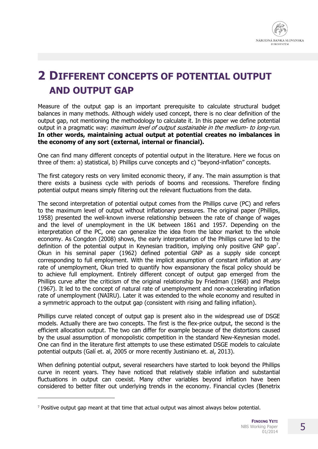

# **2 DIFFERENT CONCEPTS OF POTENTIAL OUTPUT AND OUTPUT GAP**

Measure of the output gap is an important prerequisite to calculate structural budget balances in many methods. Although widely used concept, there is no clear definition of the output gap, not mentioning the methodology to calculate it. In this paper we define potential output in a pragmatic way: *maximum level of output sustainable in the medium- to long-run.* **In other words, maintaining actual output at potential creates no imbalances in the economy of any sort (external, internal or financial).**

One can find many different concepts of potential output in the literature. Here we focus on three of them: a) statistical, b) Phillips curve concepts and c) "beyond-inflation" concepts.

The first category rests on very limited economic theory, if any. The main assumption is that there exists a business cycle with periods of booms and recessions. Therefore finding potential output means simply filtering out the relevant fluctuations from the data.

The second interpretation of potential output comes from the Phillips curve (PC) and refers to the maximum level of output without inflationary pressures. The original paper (Phillips, 1958) presented the well-known inverse relationship between the rate of change of wages and the level of unemployment in the UK between 1861 and 1957. Depending on the interpretation of the PC, one can generalize the idea from the labor market to the whole economy. As Congdon (2008) shows, the early interpretation of the Phillips curve led to the definition of the potential output in Keynesian tradition, implying only positive GNP gap<sup>7</sup>. Okun in his seminal paper (1962) defined potential GNP as a supply side concept corresponding to full employment. With the implicit assumption of constant inflation at  $anv$ rate of unemployment, Okun tried to quantify how expansionary the fiscal policy should be to achieve full employment. Entirely different concept of output gap emerged from the Phillips curve after the criticism of the original relationship by Friedman (1968) and Phelps (1967). It led to the concept of natural rate of unemployment and non-accelerating inflation rate of unemployment (NAIRU). Later it was extended to the whole economy and resulted in a symmetric approach to the output gap (consistent with rising and falling inflation).

Phillips curve related concept of output gap is present also in the widespread use of DSGE models. Actually there are two concepts. The first is the flex-price output, the second is the efficient allocation output. The two can differ for example because of the distortions caused by the usual assumption of monopolistic competition in the standard New-Keynesian model. One can find in the literature first attempts to use these estimated DSGE models to calculate potential outputs (Galí et. al, 2005 or more recently Justiniano et. al, 2013).

When defining potential output, several researchers have started to look beyond the Phillips curve in recent years. They have noticed that relatively stable inflation and substantial fluctuations in output can coexist. Many other variables beyond inflation have been considered to better filter out underlying trends in the economy. Financial cycles (Benetrix

 $\overline{a}$ 

<sup>&</sup>lt;sup>7</sup> Positive output gap meant at that time that actual output was almost always below potential.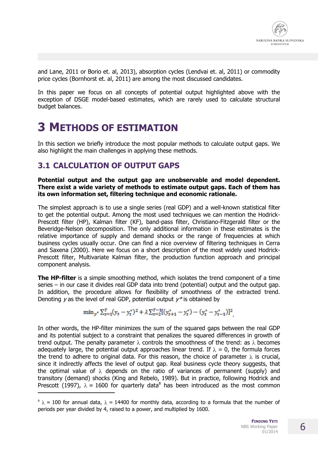and Lane, 2011 or Borio et. al, 2013), absorption cycles (Lendvai et. al, 2011) or commodity price cycles (Bornhorst et. al, 2011) are among the most discussed candidates.

In this paper we focus on all concepts of potential output highlighted above with the exception of DSGE model-based estimates, which are rarely used to calculate structural budget balances.

### **3 METHODS OF ESTIMATION**

In this section we briefly introduce the most popular methods to calculate output gaps. We also highlight the main challenges in applying these methods.

#### **3.1 CALCULATION OF OUTPUT GAPS**

j

#### **Potential output and the output gap are unobservable and model dependent. There exist a wide variety of methods to estimate output gaps. Each of them has its own information set, filtering technique and economic rationale.**

The simplest approach is to use a single series (real GDP) and a well-known statistical filter to get the potential output. Among the most used techniques we can mention the Hodrick-Prescott filter (HP), Kalman filter (KF), band-pass filter, Christiano-Fitzgerald filter or the Beveridge-Nelson decomposition. The only additional information in these estimates is the relative importance of supply and demand shocks or the range of frequencies at which business cycles usually occur. One can find a nice overview of filtering techniques in Cerra and Saxena (2000). Here we focus on a short description of the most widely used Hodrick-Prescott filter, Multivariate Kalman filter, the production function approach and principal component analysis.

**The HP-filter** is a simple smoothing method, which isolates the trend component of a time series – in our case it divides real GDP data into trend (potential) output and the output gap. In addition, the procedure allows for flexibility of smoothness of the extracted trend. Denoting  $\gamma$  as the level of real GDP, potential output  $\gamma^*$  is obtained by

$$
\min_{y^*} \sum_{t=1}^T (y_t - y_t^*)^2 + \lambda \sum_{t=2}^{T-1} [(y_{t+1}^* - y_t^*) - (y_t^* - y_{t-1}^*)]^2
$$

In other words, the HP-filter minimizes the sum of the squared gaps between the real GDP and its potential subject to a constraint that penalizes the squared differences in growth of trend output. The penalty parameter  $\lambda$  controls the smoothness of the trend: as  $\lambda$  becomes adequately large, the potential output approaches linear trend. If  $\lambda = 0$ , the formula forces the trend to adhere to original data. For this reason, the choice of parameter  $\lambda$  is crucial, since it indirectly affects the level of output gap. Real business cycle theory suggests, that the optimal value of  $\lambda$  depends on the ratio of variances of permanent (supply) and transitory (demand) shocks (King and Rebelo, 1989). But in practice, following Hodrick and Prescott (1997),  $\lambda = 1600$  for quarterly data<sup>8</sup> has been introduced as the most common

 $8 \lambda = 100$  for annual data,  $\lambda = 14400$  for monthly data, according to a formula that the number of periods per year divided by 4, raised to a power, and multiplied by 1600.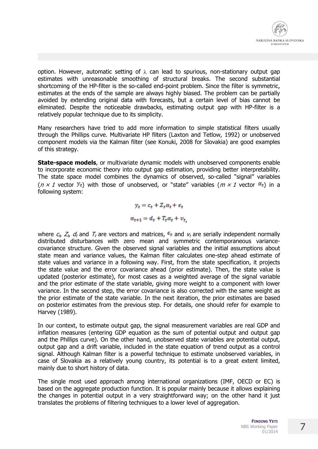

option. However, automatic setting of  $\lambda$  can lead to spurious, non-stationary output gap estimates with unreasonable smoothing of structural breaks. The second substantial shortcoming of the HP-filter is the so-called end-point problem. Since the filter is symmetric, estimates at the ends of the sample are always highly biased. The problem can be partially avoided by extending original data with forecasts, but a certain level of bias cannot be eliminated. Despite the noticeable drawbacks, estimating output gap with HP-filter is a relatively popular technique due to its simplicity.

Many researchers have tried to add more information to simple statistical filters usually through the Phillips curve. Multivariate HP filters (Laxton and Tetlow, 1992) or unobserved component models via the Kalman filter (see Konuki, 2008 for Slovakia) are good examples of this strategy.

**State-space models**, or multivariate dynamic models with unobserved components enable to incorporate economic theory into output gap estimation, providing better interpretability. The state space model combines the dynamics of observed, so-called "signal" variables ( $n \times 1$  vector  $y_t$ ) with those of unobserved, or "state" variables ( $m \times 1$  vector  $\alpha_t$ ) in a following system:

> $y_t = c_t + Z_t \alpha_t + \epsilon_t$  $a_{t+1} = d_t + T_t a_t + v_t$

where  $c_t$ ,  $Z_t$ ,  $d_t$  and  $T_t$  are vectors and matrices,  $\epsilon_t$  and  $v_t$  are serially independent normally distributed disturbances with zero mean and symmetric contemporaneous variancecovariance structure. Given the observed signal variables and the initial assumptions about state mean and variance values, the Kalman filter calculates one-step ahead estimate of state values and variance in a following way. First, from the state specification, it projects the state value and the error covariance ahead (prior estimate). Then, the state value is updated (posterior estimate), for most cases as a weighted average of the signal variable and the prior estimate of the state variable, giving more weight to a component with lower variance. In the second step, the error covariance is also corrected with the same weight as the prior estimate of the state variable. In the next iteration, the prior estimates are based on posterior estimates from the previous step. For details, one should refer for example to Harvey (1989).

In our context, to estimate output gap, the signal measurement variables are real GDP and inflation measures (entering GDP equation as the sum of potential output and output gap and the Phillips curve). On the other hand, unobserved state variables are potential output, output gap and a drift variable, included in the state equation of trend output as a control signal. Although Kalman filter is a powerful technique to estimate unobserved variables, in case of Slovakia as a relatively young country, its potential is to a great extent limited, mainly due to short history of data.

The single most used approach among international organizations (IMF, OECD or EC) is based on the aggregate production function. It is popular mainly because it allows explaining the changes in potential output in a very straightforward way; on the other hand it just translates the problems of filtering techniques to a lower level of aggregation.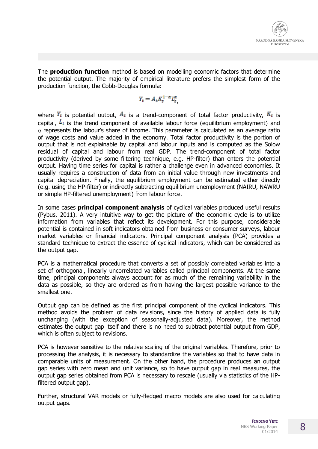

The **production function** method is based on modelling economic factors that determine the potential output. The majority of empirical literature prefers the simplest form of the production function, the Cobb-Douglas formula:

$$
Y_t = A_t K_t^{1-\alpha} L_t^{\alpha},
$$

where  $Y_t$  is potential output,  $A_t$  is a trend-component of total factor productivity,  $K_t$  is capital,  $L_t$  is the trend component of available labour force (equilibrium employment) and  $\alpha$  represents the labour's share of income. This parameter is calculated as an average ratio of wage costs and value added in the economy. Total factor productivity is the portion of output that is not explainable by capital and labour inputs and is computed as the Solow residual of capital and labour from real GDP. The trend-component of total factor productivity (derived by some filtering technique, e.g. HP-filter) than enters the potential output. Having time series for capital is rather a challenge even in advanced economies. It usually requires a construction of data from an initial value through new investments and capital depreciation. Finally, the equilibrium employment can be estimated either directly (e.g. using the HP-filter) or indirectly subtracting equilibrium unemployment (NAIRU, NAWRU or simple HP-filtered unemployment) from labour force.

In some cases **principal component analysis** of cyclical variables produced useful results (Pybus, 2011). A very intuitive way to get the picture of the economic cycle is to utilize information from variables that reflect its development. For this purpose, considerable potential is contained in soft indicators obtained from business or consumer surveys, labour market variables or financial indicators. Principal component analysis (PCA) provides a standard technique to extract the essence of cyclical indicators, which can be considered as the output gap.

PCA is a mathematical procedure that converts a set of possibly correlated variables into a set of orthogonal, linearly uncorrelated variables called principal components. At the same time, principal components always account for as much of the remaining variability in the data as possible, so they are ordered as from having the largest possible variance to the smallest one.

Output gap can be defined as the first principal component of the cyclical indicators. This method avoids the problem of data revisions, since the history of applied data is fully unchanging (with the exception of seasonally-adjusted data). Moreover, the method estimates the output gap itself and there is no need to subtract potential output from GDP, which is often subject to revisions.

PCA is however sensitive to the relative scaling of the original variables. Therefore, prior to processing the analysis, it is necessary to standardize the variables so that to have data in comparable units of measurement. On the other hand, the procedure produces an output gap series with zero mean and unit variance, so to have output gap in real measures, the output gap series obtained from PCA is necessary to rescale (usually via statistics of the HPfiltered output gap).

Further, structural VAR models or fully-fledged macro models are also used for calculating output gaps.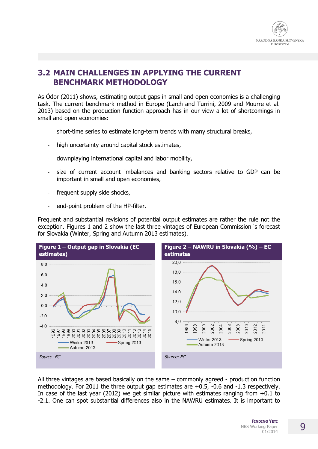

#### **3.2 MAIN CHALLENGES IN APPLYING THE CURRENT BENCHMARK METHODOLOGY**

As Ódor (2011) shows, estimating output gaps in small and open economies is a challenging task. The current benchmark method in Europe (Larch and Turrini, 2009 and Mourre et al. 2013) based on the production function approach has in our view a lot of shortcomings in small and open economies:

- short-time series to estimate long-term trends with many structural breaks,
- high uncertainty around capital stock estimates,
- downplaying international capital and labor mobility,
- size of current account imbalances and banking sectors relative to GDP can be important in small and open economies,
- frequent supply side shocks,
- end-point problem of the HP-filter.

Frequent and substantial revisions of potential output estimates are rather the rule not the exception. Figures 1 and 2 show the last three vintages of European Commission´s forecast for Slovakia (Winter, Spring and Autumn 2013 estimates).



All three vintages are based basically on the same – commonly agreed - production function methodology. For 2011 the three output gap estimates are +0.5, -0.6 and -1.3 respectively. In case of the last year (2012) we get similar picture with estimates ranging from  $+0.1$  to -2.1. One can spot substantial differences also in the NAWRU estimates. It is important to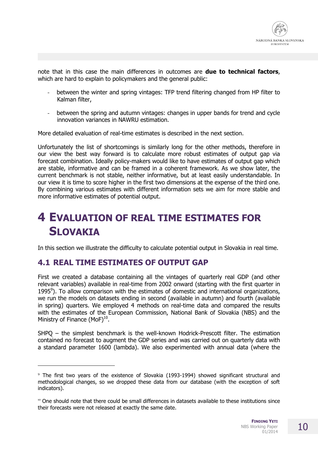note that in this case the main differences in outcomes are **due to technical factors**, which are hard to explain to policymakers and the general public:

- between the winter and spring vintages: TFP trend filtering changed from HP filter to Kalman filter,
- between the spring and autumn vintages: changes in upper bands for trend and cycle innovation variances in NAWRU estimation.

More detailed evaluation of real-time estimates is described in the next section.

Unfortunately the list of shortcomings is similarly long for the other methods, therefore in our view the best way forward is to calculate more robust estimates of output gap via forecast combination. Ideally policy-makers would like to have estimates of output gap which are stable, informative and can be framed in a coherent framework. As we show later, the current benchmark is not stable, neither informative, but at least easily understandable. In our view it is time to score higher in the first two dimensions at the expense of the third one. By combining various estimates with different information sets we aim for more stable and more informative estimates of potential output.

# **4 EVALUATION OF REAL TIME ESTIMATES FOR SLOVAKIA**

In this section we illustrate the difficulty to calculate potential output in Slovakia in real time.

#### **4.1 REAL TIME ESTIMATES OF OUTPUT GAP**

 $\overline{a}$ 

First we created a database containing all the vintages of quarterly real GDP (and other relevant variables) available in real-time from 2002 onward (starting with the first quarter in 1995 $\degree$ ). To allow comparison with the estimates of domestic and international organizations, we run the models on datasets ending in second (available in autumn) and fourth (available in spring) quarters. We employed 4 methods on real-time data and compared the results with the estimates of the European Commission, National Bank of Slovakia (NBS) and the Ministry of Finance (MoF) $^{10}$ .

SHPQ – the simplest benchmark is the well-known Hodrick-Prescott filter. The estimation contained no forecast to augment the GDP series and was carried out on quarterly data with a standard parameter 1600 (lambda). We also experimented with annual data (where the

<sup>9</sup> The first two years of the existence of Slovakia (1993-1994) showed significant structural and methodological changes, so we dropped these data from our database (with the exception of soft indicators).

<sup>10</sup> One should note that there could be small differences in datasets available to these institutions since their forecasts were not released at exactly the same date.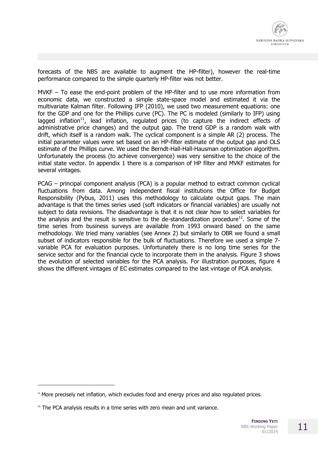forecasts of the NBS are available to augment the HP-filter), however the real-time performance compared to the simple quarterly HP-filter was not better.

MVKF  $-$  To ease the end-point problem of the HP-filter and to use more information from economic data, we constructed a simple state-space model and estimated it via the multivariate Kalman filter. Following IFP (2010), we used two measurement equations: one for the GDP and one for the Phillips curve (PC). The PC is modeled (similarly to IFP) using lagged inflation<sup>11</sup>, lead inflation, regulated prices (to capture the indirect effects of administrative price changes) and the output gap. The trend GDP is a random walk with drift, which itself is a random walk. The cyclical component is a simple AR (2) process. The initial parameter values were set based on an HP-filter estimate of the output gap and OLS estimate of the Phillips curve. We used the Berndt-Hall-Hall-Hausman optimization algorithm. Unfortunately the process (to achieve convergence) was very sensitive to the choice of the initial state vector. In appendix 1 there is a comparison of HP filter and MVKF estimates for several vintages.

PCAG – principal component analysis (PCA) is a popular method to extract common cyclical fluctuations from data. Among independent fiscal institutions the Office for Budget Responsibility (Pybus, 2011) uses this methodology to calculate output gaps. The main advantage is that the times series used (soft indicators or financial variables) are usually not subject to data revisions. The disadvantage is that it is not clear how to select variables for the analysis and the result is sensitive to the de-standardization procedure<sup>12</sup>. Some of the time series from business surveys are available from 1993 onward based on the same methodology. We tried many variables (see Annex 2) but similarly to OBR we found a small subset of indicators responsible for the bulk of fluctuations. Therefore we used a simple 7 variable PCA for evaluation purposes. Unfortunately there is no long time series for the service sector and for the financial cycle to incorporate them in the analysis. Figure 3 shows the evolution of selected variables for the PCA analysis. For illustration purposes, figure 4 shows the different vintages of EC estimates compared to the last vintage of PCA analysis.

<sup>&</sup>lt;sup>11</sup> More precisely net inflation, which excludes food and energy prices and also regulated prices.

 $12$  The PCA analysis results in a time series with zero mean and unit variance.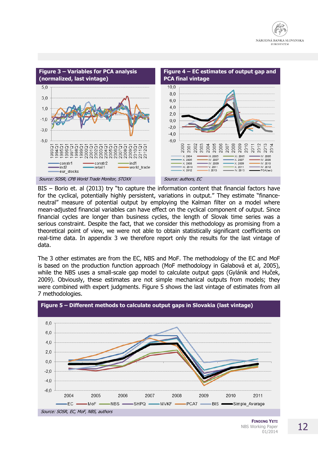



BIS – Borio et. al (2013) try "to capture the information content that financial factors have for the cyclical, potentially highly persistent, variations in output." They estimate "financeneutral" measure of potential output by employing the Kalman filter on a model where mean-adjusted financial variables can have effect on the cyclical component of output. Since financial cycles are longer than business cycles, the length of Slovak time series was a serious constraint. Despite the fact, that we consider this methodology as promising from a theoretical point of view, we were not able to obtain statistically significant coefficients on real-time data. In appendix 3 we therefore report only the results for the last vintage of data.

The 3 other estimates are from the EC, NBS and MoF. The methodology of the EC and MoF is based on the production function approach (MoF methodology in Galabová et al, 2005), while the NBS uses a small-scale gap model to calculate output gaps (Gylánik and Huček, 2009). Obviously, these estimates are not simple mechanical outputs from models; they were combined with expert judgments. Figure 5 shows the last vintage of estimates from all 7 methodologies.

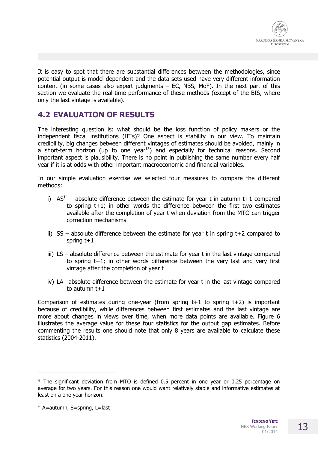

It is easy to spot that there are substantial differences between the methodologies, since potential output is model dependent and the data sets used have very different information content (in some cases also expert judgments  $-$  EC, NBS, MoF). In the next part of this section we evaluate the real-time performance of these methods (except of the BIS, where only the last vintage is available).

#### **4.2 EVALUATION OF RESULTS**

The interesting question is: what should be the loss function of policy makers or the independent fiscal institutions (IFIs)? One aspect is stability in our view. To maintain credibility, big changes between different vintages of estimates should be avoided, mainly in a short-term horizon (up to one year $^{13}$ ) and especially for technical reasons. Second important aspect is plausibility. There is no point in publishing the same number every half year if it is at odds with other important macroeconomic and financial variables.

In our simple evaluation exercise we selected four measures to compare the different methods:

- i)  $AS^{14}$  absolute difference between the estimate for year t in autumn t+1 compared to spring t+1; in other words the difference between the first two estimates available after the completion of year t when deviation from the MTO can trigger correction mechanisms
- ii)  $SS absolute$  difference between the estimate for year t in spring  $t+2$  compared to spring  $t+1$
- iii) LS absolute difference between the estimate for year t in the last vintage compared to spring t+1; in other words difference between the very last and very first vintage after the completion of year t
- iv) LA– absolute difference between the estimate for year t in the last vintage compared to autumn  $t+1$

Comparison of estimates during one-year (from spring  $t+1$  to spring  $t+2$ ) is important because of credibility, while differences between first estimates and the last vintage are more about changes in views over time, when more data points are available. Figure 6 illustrates the average value for these four statistics for the output gap estimates. Before commenting the results one should note that only 8 years are available to calculate these statistics (2004-2011).

-

<sup>&</sup>lt;sup>13</sup> The significant deviation from MTO is defined 0.5 percent in one year or 0.25 percentage on average for two years. For this reason one would want relatively stable and informative estimates at least on a one year horizon.

<sup>&</sup>lt;sup>14</sup> A=autumn, S=spring, L=last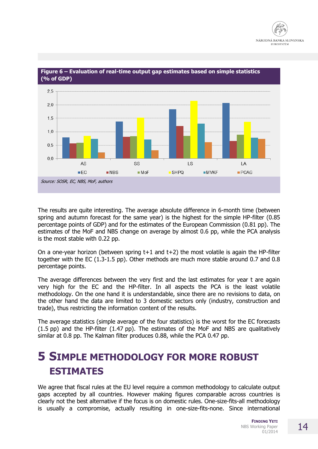

**Figure 6 – Evaluation of real-time output gap estimates based on simple statistics (% of GDP)**

The results are quite interesting. The average absolute difference in 6-month time (between spring and autumn forecast for the same year) is the highest for the simple HP-filter (0.85 percentage points of GDP) and for the estimates of the European Commission (0.81 pp). The estimates of the MoF and NBS change on average by almost 0.6 pp, while the PCA analysis is the most stable with 0.22 pp.

On a one-year horizon (between spring t+1 and t+2) the most volatile is again the HP-filter together with the EC (1.3-1.5 pp). Other methods are much more stable around 0.7 and 0.8 percentage points.

The average differences between the very first and the last estimates for year t are again very high for the EC and the HP-filter. In all aspects the PCA is the least volatile methodology. On the one hand it is understandable, since there are no revisions to data, on the other hand the data are limited to 3 domestic sectors only (industry, construction and trade), thus restricting the information content of the results.

The average statistics (simple average of the four statistics) is the worst for the EC forecasts (1.5 pp) and the HP-filter (1.47 pp). The estimates of the MoF and NBS are qualitatively similar at 0.8 pp. The Kalman filter produces 0.88, while the PCA 0.47 pp.

### **5 SIMPLE METHODOLOGY FOR MORE ROBUST ESTIMATES**

We agree that fiscal rules at the EU level require a common methodology to calculate output gaps accepted by all countries. However making figures comparable across countries is clearly not the best alternative if the focus is on domestic rules. One-size-fits-all methodology is usually a compromise, actually resulting in one-size-fits-none. Since international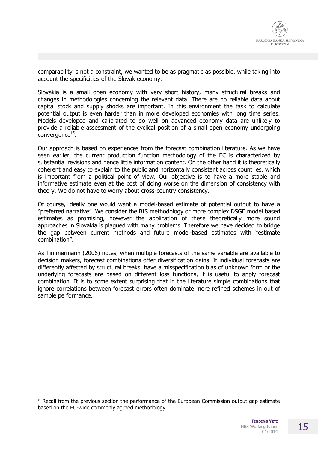

comparability is not a constraint, we wanted to be as pragmatic as possible, while taking into account the specificities of the Slovak economy.

Slovakia is a small open economy with very short history, many structural breaks and changes in methodologies concerning the relevant data. There are no reliable data about capital stock and supply shocks are important. In this environment the task to calculate potential output is even harder than in more developed economies with long time series. Models developed and calibrated to do well on advanced economy data are unlikely to provide a reliable assessment of the cyclical position of a small open economy undergoing  $\mathsf{convergence}^{15}.$ 

Our approach is based on experiences from the forecast combination literature. As we have seen earlier, the current production function methodology of the EC is characterized by substantial revisions and hence little information content. On the other hand it is theoretically coherent and easy to explain to the public and horizontally consistent across countries, which is important from a political point of view. Our objective is to have a more stable and informative estimate even at the cost of doing worse on the dimension of consistency with theory. We do not have to worry about cross-country consistency.

Of course, ideally one would want a model-based estimate of potential output to have a "preferred narrative". We consider the BIS methodology or more complex DSGE model based estimates as promising, however the application of these theoretically more sound approaches in Slovakia is plagued with many problems. Therefore we have decided to bridge the gap between current methods and future model-based estimates with "estimate combination".

As Timmermann (2006) notes, when multiple forecasts of the same variable are available to decision makers, forecast combinations offer diversification gains. If individual forecasts are differently affected by structural breaks, have a misspecification bias of unknown form or the underlying forecasts are based on different loss functions, it is useful to apply forecast combination. It is to some extent surprising that in the literature simple combinations that ignore correlations between forecast errors often dominate more refined schemes in out of sample performance.

<sup>&</sup>lt;sup>15</sup> Recall from the previous section the performance of the European Commission output gap estimate based on the EU-wide commonly agreed methodology.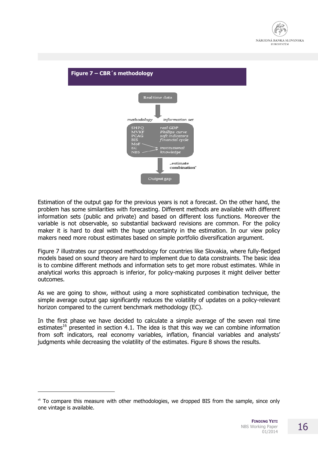



Estimation of the output gap for the previous years is not a forecast. On the other hand, the problem has some similarities with forecasting. Different methods are available with different information sets (public and private) and based on different loss functions. Moreover the variable is not observable, so substantial backward revisions are common. For the policy maker it is hard to deal with the huge uncertainty in the estimation. In our view policy makers need more robust estimates based on simple portfolio diversification argument.

Figure 7 illustrates our proposed methodology for countries like Slovakia, where fully-fledged models based on sound theory are hard to implement due to data constraints. The basic idea is to combine different methods and information sets to get more robust estimates. While in analytical works this approach is inferior, for policy-making purposes it might deliver better outcomes.

As we are going to show, without using a more sophisticated combination technique, the simple average output gap significantly reduces the volatility of updates on a policy-relevant horizon compared to the current benchmark methodology (EC).

In the first phase we have decided to calculate a simple average of the seven real time estimates<sup>16</sup> presented in section 4.1. The idea is that this way we can combine information from soft indicators, real economy variables, inflation, financial variables and analysts' judgments while decreasing the volatility of the estimates. Figure 8 shows the results.

 $16$  To compare this measure with other methodologies, we dropped BIS from the sample, since only one vintage is available.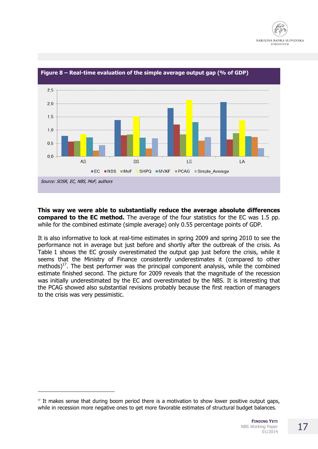



**Figure 8 – Real-time evaluation of the simple average output gap (% of GDP)**

**This way we were able to substantially reduce the average absolute differences compared to the EC method.** The average of the four statistics for the EC was 1.5 pp. while for the combined estimate (simple average) only 0.55 percentage points of GDP.

It is also informative to look at real-time estimates in spring 2009 and spring 2010 to see the performance not in average but just before and shortly after the outbreak of the crisis. As Table 1 shows the EC grossly overestimated the output gap just before the crisis, while it seems that the Ministry of Finance consistently underestimates it (compared to other methods)<sup>17</sup>. The best performer was the principal component analysis, while the combined estimate finished second. The picture for 2009 reveals that the magnitude of the recession was initially underestimated by the EC and overestimated by the NBS. It is interesting that the PCAG showed also substantial revisions probably because the first reaction of managers to the crisis was very pessimistic.

 $17$  It makes sense that during boom period there is a motivation to show lower positive output gaps, while in recession more negative ones to get more favorable estimates of structural budget balances.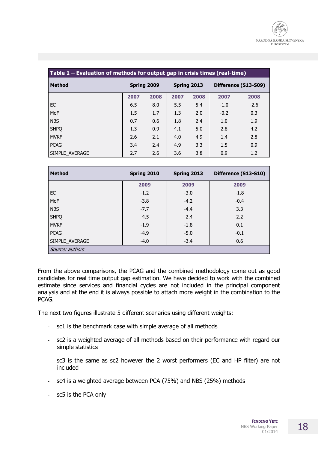| Table 1 – Evaluation of methods for output gap in crisis times (real-time) |             |      |             |      |                      |        |
|----------------------------------------------------------------------------|-------------|------|-------------|------|----------------------|--------|
| <b>Method</b>                                                              | Spring 2009 |      | Spring 2013 |      | Difference (S13-S09) |        |
|                                                                            | 2007        | 2008 | 2007        | 2008 | 2007                 | 2008   |
| EC                                                                         | 6.5         | 8.0  | 5.5         | 5.4  | $-1.0$               | $-2.6$ |
| MoF                                                                        | 1.5         | 1.7  | 1.3         | 2.0  | $-0.2$               | 0.3    |
| <b>NBS</b>                                                                 | 0.7         | 0.6  | 1.8         | 2.4  | 1.0                  | 1.9    |
| <b>SHPQ</b>                                                                | 1.3         | 0.9  | 4.1         | 5.0  | 2.8                  | 4.2    |
| <b>MVKF</b>                                                                | 2.6         | 2.1  | 4.0         | 4.9  | 1.4                  | 2.8    |
| <b>PCAG</b>                                                                | 3.4         | 2.4  | 4.9         | 3.3  | 1.5                  | 0.9    |
| SIMPLE AVERAGE                                                             | 2.7         | 2.6  | 3.6         | 3.8  | 0.9                  | 1.2    |

| <b>Method</b>   | Spring 2010 | Spring 2013 | Difference (S13-S10) |  |
|-----------------|-------------|-------------|----------------------|--|
|                 | 2009        | 2009        | 2009                 |  |
| EC              | $-1.2$      | $-3.0$      | $-1.8$               |  |
| MoF             | $-3.8$      | $-4.2$      | $-0.4$               |  |
| <b>NBS</b>      | $-7.7$      | $-4.4$      | 3.3                  |  |
| <b>SHPQ</b>     | $-4.5$      | $-2.4$      | 2.2                  |  |
| <b>MVKF</b>     | $-1.9$      | $-1.8$      | 0.1                  |  |
| <b>PCAG</b>     | $-4.9$      | $-5.0$      | $-0.1$               |  |
| SIMPLE_AVERAGE  | $-4.0$      | $-3.4$      | 0.6                  |  |
| Source: authors |             |             |                      |  |

From the above comparisons, the PCAG and the combined methodology come out as good candidates for real time output gap estimation. We have decided to work with the combined estimate since services and financial cycles are not included in the principal component analysis and at the end it is always possible to attach more weight in the combination to the PCAG.

The next two figures illustrate 5 different scenarios using different weights:

- sc1 is the benchmark case with simple average of all methods
- sc2 is a weighted average of all methods based on their performance with regard our simple statistics
- sc3 is the same as sc2 however the 2 worst performers (EC and HP filter) are not included
- sc4 is a weighted average between PCA (75%) and NBS (25%) methods
- sc5 is the PCA only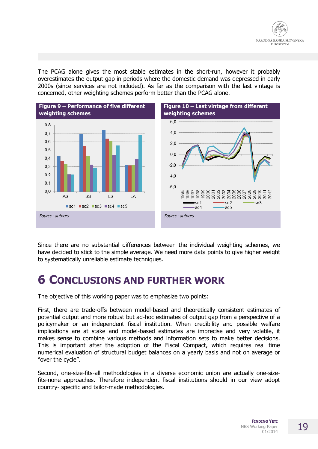

The PCAG alone gives the most stable estimates in the short-run, however it probably overestimates the output gap in periods where the domestic demand was depressed in early 2000s (since services are not included). As far as the comparison with the last vintage is concerned, other weighting schemes perform better than the PCAG alone.



Since there are no substantial differences between the individual weighting schemes, we have decided to stick to the simple average. We need more data points to give higher weight to systematically unreliable estimate techniques.

### **6 CONCLUSIONS AND FURTHER WORK**

The objective of this working paper was to emphasize two points:

First, there are trade-offs between model-based and theoretically consistent estimates of potential output and more robust but ad-hoc estimates of output gap from a perspective of a policymaker or an independent fiscal institution. When credibility and possible welfare implications are at stake and model-based estimates are imprecise and very volatile, it makes sense to combine various methods and information sets to make better decisions. This is important after the adoption of the Fiscal Compact, which requires real time numerical evaluation of structural budget balances on a yearly basis and not on average or "over the cycle".

Second, one-size-fits-all methodologies in a diverse economic union are actually one-sizefits-none approaches. Therefore independent fiscal institutions should in our view adopt country- specific and tailor-made methodologies.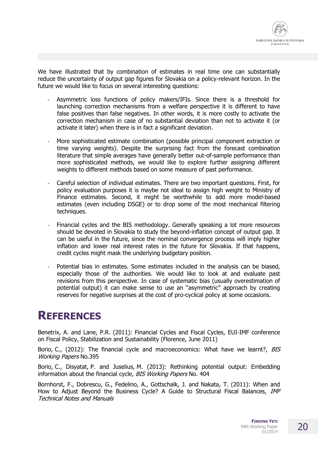

We have illustrated that by combination of estimates in real time one can substantially reduce the uncertainty of output gap figures for Slovakia on a policy-relevant horizon. In the future we would like to focus on several interesting questions:

- Asymmetric loss functions of policy makers/IFIs. Since there is a threshold for launching correction mechanisms from a welfare perspective it is different to have false positives than false negatives. In other words, it is more costly to activate the correction mechanism in case of no substantial deviation than not to activate it (or activate it later) when there is in fact a significant deviation.
- More sophisticated estimate combination (possible principal component extraction or time varying weights). Despite the surprising fact from the forecast combination literature that simple averages have generally better out-of-sample performance than more sophisticated methods, we would like to explore further assigning different weights to different methods based on some measure of past performance.
- Careful selection of individual estimates. There are two important questions. First, for policy evaluation purposes it is maybe not ideal to assign high weight to Ministry of Finance estimates. Second, it might be worthwhile to add more model-based estimates (even including DSGE) or to drop some of the most mechanical filtering techniques.
- Financial cycles and the BIS methodology. Generally speaking a lot more resources should be devoted in Slovakia to study the beyond-inflation concept of output gap. It can be useful in the future, since the nominal convergence process will imply higher inflation and lower real interest rates in the future for Slovakia. If that happens, credit cycles might mask the underlying budgetary position.
- Potential bias in estimates. Some estimates included in the analysis can be biased, especially those of the authorities. We would like to look at and evaluate past revisions from this perspective. In case of systematic bias (usually overestimation of potential output) it can make sense to use an "asymmetric" approach by creating reserves for negative surprises at the cost of pro-cyclical policy at some occasions.

### **REFERENCES**

Benetrix, A. and Lane, P.R. (2011): Financial Cycles and Fiscal Cycles, EUI-IMF conference on Fiscal Policy, Stabilization and Sustainability (Florence, June 2011)

Borio, C., (2012): The financial cycle and macroeconomics: What have we learnt?, BIS Working Papers No.395

Borio, C., Disyatat, P. and Juselius, M. (2013): Rethinking potential output: Embedding information about the financial cycle, BIS Working Papers No. 404

Bornhorst, F., Dobrescu, G., Fedelino, A., Gottschalk, J. and Nakata, T. (2011): When and How to Adjust Beyond the Business Cycle? A Guide to Structural Fiscal Balances, IMF Technical Notes and Manuals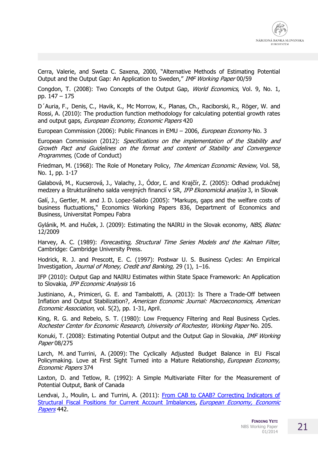Cerra, Valerie, and Sweta C. Saxena, 2000, "Alternative Methods of Estimating Potential Output and the Output Gap: An Application to Sweden," IMF Working Paper 00/59

Congdon, T. (2008): Two Concepts of the Output Gap, *World Economics*, Vol. 9, No. 1, pp. 147 – 175

D´Auria, F., Denis, C., Havik, K., Mc Morrow, K., Planas, Ch., Raciborski, R., Röger, W. and Rossi, A. (2010): The production function methodology for calculating potential growth rates and output gaps, European Economy, Economic Papers 420

European Commission (2006): Public Finances in EMU - 2006, European Economy No. 3

European Commission (2012): Specifications on the implementation of the Stability and Growth Pact and Guidelines on the format and content of Stability and Convergence Programmes, (Code of Conduct)

Friedman, M. (1968): The Role of Monetary Policy, The American Economic Review, Vol. 58, No. 1, pp. 1-17

Galabová, M., Kucserová, J., Valachy, J., Ódor, Ľ. and Krajčír, Z. (2005): Odhad produkčnej medzery a štrukturálneho salda verejných financií v SR, IFP Ekonomická analýza 3, in Slovak

Galí, J., Gertler, M. and J. D. Lopez-Salido (2005): "Markups, gaps and the welfare costs of business fluctuations," Economics Working Papers 836, Department of Economics and Business, Universitat Pompeu Fabra

Gylánik, M. and Huček, J. (2009): Estimating the NAIRU in the Slovak economy, NBS, Biatec 12/2009

Harvey, A. C. (1989): Forecasting, Structural Time Series Models and the Kalman Filter, Cambridge: Cambridge University Press.

Hodrick, R. J. and Prescott, E. C. (1997): Postwar U. S. Business Cycles: An Empirical Investigation, Journal of Money, Credit and Banking, 29 (1), 1–16.

IFP (2010): Output Gap and NAIRU Estimates within State Space Framework: An Application to Slovakia, IFP Economic Analysis 16

Justiniano, A., Primiceri, G. E. and Tambalotti, A. (2013): Is There a Trade-Off between Inflation and Output Stabilization?, American Economic Journal: Macroeconomics, American Economic Association, vol. 5(2), pp. 1-31, April.

King, R. G. and Rebelo, S. T. (1980): Low Frequency Filtering and Real Business Cycles. Rochester Center for Economic Research, University of Rochester, Working Paper No. 205.

Konuki, T. (2008): Estimating Potential Output and the Output Gap in Slovakia, *IMF Working* Paper 08/275

Larch, M. and Turrini, A. (2009): The Cyclically Adjusted Budget Balance in EU Fiscal Policymaking. Love at First Sight Turned into a Mature Relationship, European Economy, Economic Papers 374

Laxton, D. and Tetlow, R. (1992): A Simple Multivariate Filter for the Measurement of Potential Output, Bank of Canada

Lendvai, J., Moulin, L. and Turrini, A. (2011): [From CAB to CAAB? Correcting Indicators of](http://ideas.repec.org/p/euf/ecopap/0442.html)  [Structural Fiscal Positions for Current Account Imbalances,](http://ideas.repec.org/p/euf/ecopap/0442.html) European Economy, Economic [Papers](http://ideas.repec.org/s/euf/ecopap.html) 442.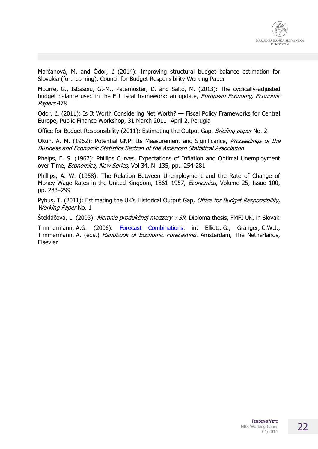Marčanová, M. and Ódor, Ľ (2014): Improving structural budget balance estimation for Slovakia (forthcoming), Council for Budget Responsibility Working Paper

Mourre, G., Isbasoiu, G.-M., Paternoster, D. and Salto, M. (2013): The cyclically-adjusted budget balance used in the EU fiscal framework: an update, European Economy, Economic Papers 478

Ódor, Ľ. (2011): Is It Worth Considering Net Worth? — Fiscal Policy Frameworks for Central Europe, Public Finance Workshop, 31 March 2011−April 2, Perugia

Office for Budget Responsibility (2011): Estimating the Output Gap, Briefing paper No. 2

Okun, A. M. (1962): Potential GNP: Its Measurement and Significance, *Proceedings of the* Business and Economic Statistics Section of the American Statistical Association

Phelps, E. S. (1967): Phillips Curves, Expectations of Inflation and Optimal Unemployment over Time, *Economica, New Series,* Vol 34, N. 135, pp.. 254-281

Phillips, A. W. (1958): The Relation Between Unemployment and the Rate of Change of Money Wage Rates in the United Kingdom, 1861-1957, *Economica*, Volume 25, Issue 100, pp. 283–299

Pybus, T. (2011): Estimating the UK's Historical Output Gap, Office for Budget Responsibility, Working Paper No. 1

Štekláčová, L. (2003): Meranie produkčnej medzery v SR, Diploma thesis, FMFI UK, in Slovak

Timmermann, A.G. (2006): [Forecast Combinations.](http://ideas.repec.org/p/cpr/ceprdp/5361.html) in: Elliott, G., Granger, C.W.J., Timmermann, A. (eds.) Handbook of Economic Forecasting. Amsterdam, The Netherlands, Elsevier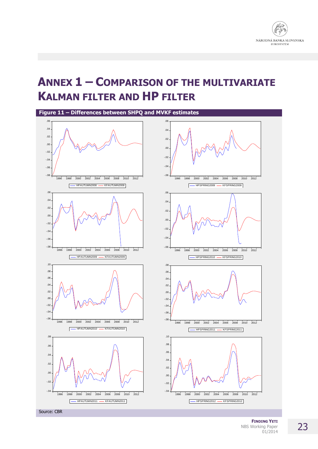

### **ANNEX 1 – COMPARISON OF THE MULTIVARIATE KALMAN FILTER AND HP FILTER**



**FINDING YETI** NBS Working Paper 01/2014

### 23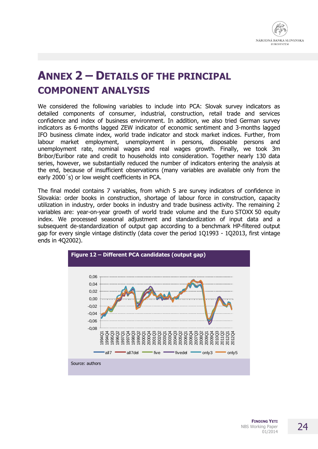

# **ANNEX 2 – DETAILS OF THE PRINCIPAL COMPONENT ANALYSIS**

We considered the following variables to include into PCA: Slovak survey indicators as detailed components of consumer, industrial, construction, retail trade and services confidence and index of business environment. In addition, we also tried German survey indicators as 6-months lagged ZEW indicator of economic sentiment and 3-months lagged IFO business climate index, world trade indicator and stock market indices. Further, from labour market employment, unemployment in persons, disposable persons and unemployment rate, nominal wages and real wages growth. Finally, we took 3m Bribor/Euribor rate and credit to households into consideration. Together nearly 130 data series, however, we substantially reduced the number of indicators entering the analysis at the end, because of insufficient observations (many variables are available only from the early 2000´s) or low weight coefficients in PCA.

The final model contains 7 variables, from which 5 are survey indicators of confidence in Slovakia: order books in construction, shortage of labour force in construction, capacity utilization in industry, order books in industry and trade business activity. The remaining 2 variables are: year-on-year growth of world trade volume and the Euro STOXX 50 equity index. We processed seasonal adjustment and standardization of input data and a subsequent de-standardization of output gap according to a benchmark HP-filtered output gap for every single vintage distinctly (data cover the period 1Q1993 - 1Q2013, first vintage ends in 4Q2002).

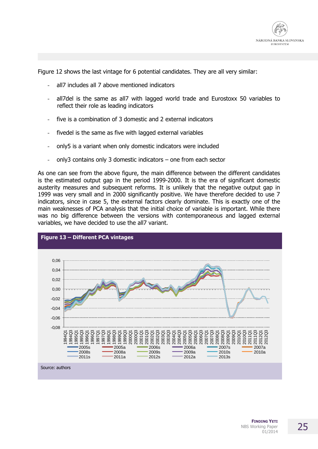

Figure 12 shows the last vintage for 6 potential candidates. They are all very similar:

- all7 includes all 7 above mentioned indicators
- all7del is the same as all7 with lagged world trade and Eurostoxx 50 variables to reflect their role as leading indicators
- five is a combination of 3 domestic and 2 external indicators
- fivedel is the same as five with lagged external variables
- only5 is a variant when only domestic indicators were included
- only3 contains only 3 domestic indicators one from each sector

As one can see from the above figure, the main difference between the different candidates is the estimated output gap in the period 1999-2000. It is the era of significant domestic austerity measures and subsequent reforms. It is unlikely that the negative output gap in 1999 was very small and in 2000 significantly positive. We have therefore decided to use 7 indicators, since in case 5, the external factors clearly dominate. This is exactly one of the main weaknesses of PCA analysis that the initial choice of variable is important. While there was no big difference between the versions with contemporaneous and lagged external variables, we have decided to use the all7 variant.

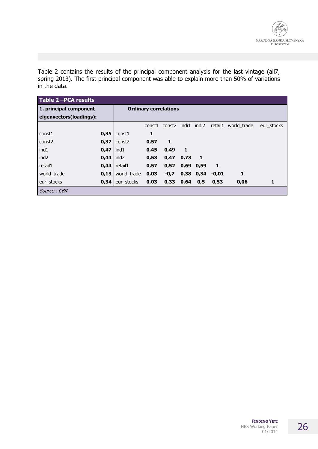Table 2 contains the results of the principal component analysis for the last vintage (all7, spring 2013). The first principal component was able to explain more than 50% of variations in the data.

| Table 2-PCA results     |      |                              |        |        |       |                   |         |             |            |
|-------------------------|------|------------------------------|--------|--------|-------|-------------------|---------|-------------|------------|
| 1. principal component  |      | <b>Ordinary correlations</b> |        |        |       |                   |         |             |            |
| eigenvectors(loadings): |      |                              |        |        |       |                   |         |             |            |
|                         |      |                              | const1 | const2 | indi1 | indi <sub>2</sub> | retail1 | world trade | eur stocks |
| const1                  | 0,35 | const1                       | 1      |        |       |                   |         |             |            |
| const <sub>2</sub>      | 0,37 | const2                       | 0,57   | 1      |       |                   |         |             |            |
| ind1                    | 0,47 | ind1                         | 0,45   | 0,49   | 1     |                   |         |             |            |
| ind <sub>2</sub>        | 0,44 | ind <sub>2</sub>             | 0,53   | 0,47   | 0,73  | -1                |         |             |            |
| retail1                 | 0,44 | retail1                      | 0,57   | 0,52   | 0,69  | 0,59              | 1       |             |            |
| world trade             | 0,13 | world trade                  | 0,03   | $-0,7$ | 0,38  | 0,34              | $-0.01$ | 1           |            |
| eur stocks              | 0,34 | eur stocks                   | 0,03   | 0,33   | 0,64  | 0,5               | 0,53    | 0,06        | 1          |
| Source : CBR            |      |                              |        |        |       |                   |         |             |            |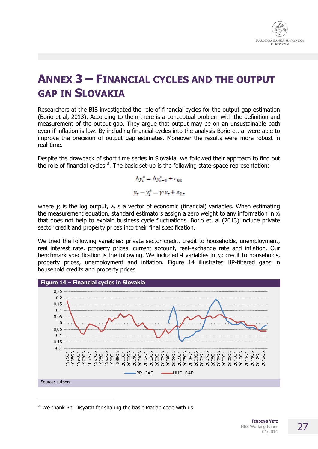

# **ANNEX 3 – FINANCIAL CYCLES AND THE OUTPUT GAP IN SLOVAKIA**

Researchers at the BIS investigated the role of financial cycles for the output gap estimation (Borio et al, 2013). According to them there is a conceptual problem with the definition and measurement of the output gap. They argue that output may be on an unsustainable path even if inflation is low. By including financial cycles into the analysis Borio et. al were able to improve the precision of output gap estimates. Moreover the results were more robust in real-time.

Despite the drawback of short time series in Slovakia, we followed their approach to find out the role of financial cycles<sup>18</sup>. The basic set-up is the following state-space representation:

$$
\Delta y_t^* = \Delta y_{t-1}^* + \varepsilon_{0,t}
$$

$$
y_t - y_t^* = \gamma x_t + \varepsilon_{2,t}
$$

where  $y_t$  is the log output,  $x_t$  is a vector of economic (financial) variables. When estimating the measurement equation, standard estimators assign a zero weight to any information in  $x_t$ that does not help to explain business cycle fluctuations. Borio et. al (2013) include private sector credit and property prices into their final specification.

We tried the following variables: private sector credit, credit to households, unemployment, real interest rate, property prices, current account, real-exchange rate and inflation. Our benchmark specification is the following. We included 4 variables in  $x_i$ : credit to households, property prices, unemployment and inflation. Figure 14 illustrates HP-filtered gaps in household credits and property prices.



 $18$  We thank Piti Disvatat for sharing the basic Matlab code with us.

 $\overline{a}$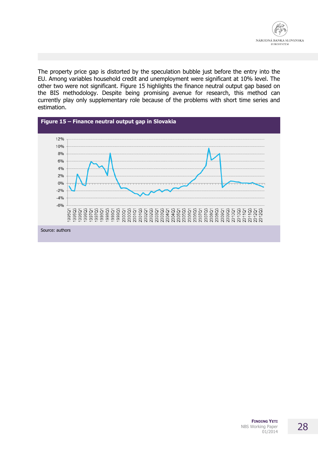

The property price gap is distorted by the speculation bubble just before the entry into the EU. Among variables household credit and unemployment were significant at 10% level. The other two were not significant. Figure 15 highlights the finance neutral output gap based on the BIS methodology. Despite being promising avenue for research, this method can currently play only supplementary role because of the problems with short time series and estimation.

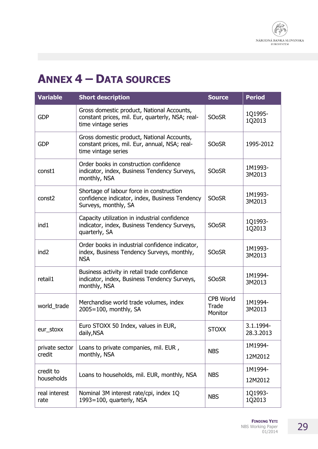

# **ANNEX 4 – DATA SOURCES**

| <b>Variable</b>          | <b>Short description</b>                                                                                              | <b>Source</b>                 | <b>Period</b>          |
|--------------------------|-----------------------------------------------------------------------------------------------------------------------|-------------------------------|------------------------|
| <b>GDP</b>               | Gross domestic product, National Accounts,<br>constant prices, mil. Eur, quarterly, NSA; real-<br>time vintage series | <b>SOoSR</b>                  | 1Q1995-<br>1Q2013      |
| <b>GDP</b>               | Gross domestic product, National Accounts,<br>constant prices, mil. Eur, annual, NSA; real-<br>time vintage series    | <b>SOoSR</b>                  | 1995-2012              |
| const1                   | Order books in construction confidence<br>indicator, index, Business Tendency Surveys,<br>monthly, NSA                | <b>SOoSR</b>                  | 1M1993-<br>3M2013      |
| const2                   | Shortage of labour force in construction<br>confidence indicator, index, Business Tendency<br>Surveys, monthly, SA    | <b>SOoSR</b>                  | 1M1993-<br>3M2013      |
| ind1                     | Capacity utilization in industrial confidence<br>indicator, index, Business Tendency Surveys,<br>quarterly, SA        | <b>SOoSR</b>                  | 1Q1993-<br>1Q2013      |
| ind <sub>2</sub>         | Order books in industrial confidence indicator,<br>index, Business Tendency Surveys, monthly,<br><b>NSA</b>           | <b>SOoSR</b>                  | 1M1993-<br>3M2013      |
| retail1                  | Business activity in retail trade confidence<br>indicator, index, Business Tendency Surveys,<br>monthly, NSA          | <b>SOoSR</b>                  | 1M1994-<br>3M2013      |
| world_trade              | Merchandise world trade volumes, index<br>2005=100, monthly, SA                                                       | CPB World<br>Trade<br>Monitor | 1M1994-<br>3M2013      |
| eur_stoxx                | Euro STOXX 50 Index, values in EUR,<br>daily, NSA                                                                     | <b>STOXX</b>                  | 3.1.1994-<br>28.3.2013 |
| private sector<br>credit | Loans to private companies, mil. EUR,                                                                                 | <b>NBS</b>                    | 1M1994-                |
|                          | monthly, NSA                                                                                                          |                               | 12M2012                |
| credit to<br>households  | Loans to households, mil. EUR, monthly, NSA                                                                           | <b>NBS</b>                    | 1M1994-<br>12M2012     |
| real interest<br>rate    | Nominal 3M interest rate/cpi, index 1Q<br>1993=100, quarterly, NSA                                                    | <b>NBS</b>                    | 1Q1993-<br>1Q2013      |